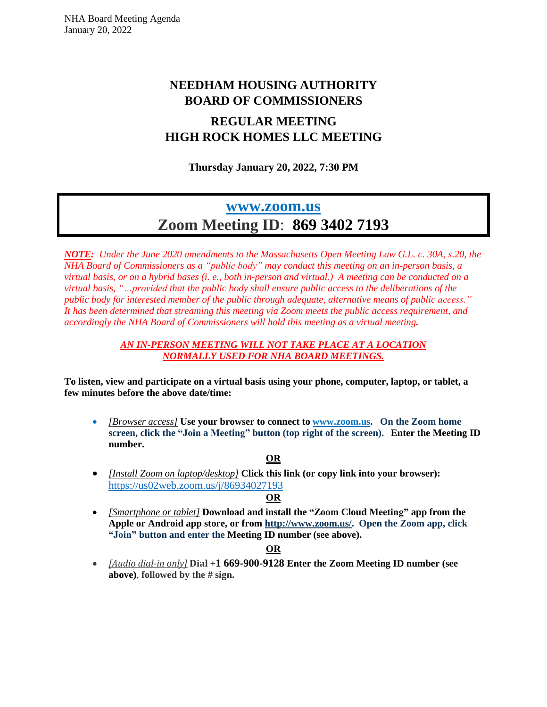# **NEEDHAM HOUSING AUTHORITY BOARD OF COMMISSIONERS**

# **REGULAR MEETING HIGH ROCK HOMES LLC MEETING**

**Thursday January 20, 2022, 7:30 PM**

# **[www.zoom.us](http://www.zoom.us/) Zoom Meeting ID**: **869 3402 7193**

*NOTE: Under the June 2020 amendments to the Massachusetts Open Meeting Law G.L. c. 30A, s.20, the NHA Board of Commissioners as a "public body" may conduct this meeting on an in-person basis, a* virtual basis, or on a hybrid bases (i, e., both in-person and virtual.) A meeting can be conducted on a *virtual basis, "…provided that the public body shall ensure public access to the deliberations of the public body for interested member of the public through adequate, alternative means of public access." It has been determined that streaming this meeting via Zoom meets the public access requirement, and accordingly the NHA Board of Commissioners will hold this meeting as a virtual meeting.*

#### *AN IN-PERSON MEETING WILL NOT TAKE PLACE AT A LOCATION NORMALLY USED FOR NHA BOARD MEETINGS.*

**To listen, view and participate on a virtual basis using your phone, computer, laptop, or tablet, a few minutes before the above date/time:**

• *[Browser access]* **Use your browser to connect to [www.zoom.us.](http://www.zoom.us/) On the Zoom home screen, click the "Join a Meeting" button (top right of the screen). Enter the Meeting ID number.**

## **OR**

• *[Install Zoom on laptop/desktop]* **Click this link (or copy link into your browser):**  [https://us02web.zoom.us/j/8](https://us02web.zoom.us/j/5)6934027193

## **OR**

• *[Smartphone or tablet]* **Download and install the "Zoom Cloud Meeting" app from the Apple or Android app store, or from [http://www.zoom.us/.](http://www.zoom.us/) Open the Zoom app, click "Join" button and enter the Meeting ID number (see above).**

## **OR**

• *[Audio dial-in only]* **Dial +1 669-900-9128 Enter the Zoom Meeting ID number (see above)**, **followed by the # sign.**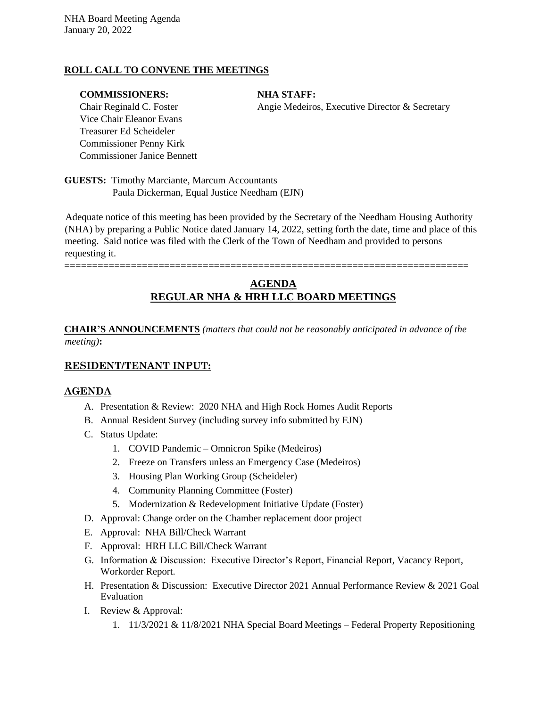#### **ROLL CALL TO CONVENE THE MEETINGS**

#### **COMMISSIONERS:** NHA STAFF:

Vice Chair Eleanor Evans Treasurer Ed Scheideler Commissioner Penny Kirk Commissioner Janice Bennett

Chair Reginald C. Foster Angie Medeiros, Executive Director & Secretary

**GUESTS:** Timothy Marciante, Marcum Accountants Paula Dickerman, Equal Justice Needham (EJN)

Adequate notice of this meeting has been provided by the Secretary of the Needham Housing Authority (NHA) by preparing a Public Notice dated January 14, 2022, setting forth the date, time and place of this meeting. Said notice was filed with the Clerk of the Town of Needham and provided to persons requesting it.

=========================================================================

# **AGENDA REGULAR NHA & HRH LLC BOARD MEETINGS**

**CHAIR'S ANNOUNCEMENTS** *(matters that could not be reasonably anticipated in advance of the meeting)***:**

#### **RESIDENT/TENANT INPUT:**

#### **AGENDA**

- A. Presentation & Review: 2020 NHA and High Rock Homes Audit Reports
- B. Annual Resident Survey (including survey info submitted by EJN)
- C. Status Update:
	- 1. COVID Pandemic Omnicron Spike (Medeiros)
	- 2. Freeze on Transfers unless an Emergency Case (Medeiros)
	- 3. Housing Plan Working Group (Scheideler)
	- 4. Community Planning Committee (Foster)
	- 5. Modernization & Redevelopment Initiative Update (Foster)
- D. Approval: Change order on the Chamber replacement door project
- E. Approval: NHA Bill/Check Warrant
- F. Approval: HRH LLC Bill/Check Warrant
- G. Information & Discussion: Executive Director's Report, Financial Report, Vacancy Report, Workorder Report.
- H. Presentation & Discussion: Executive Director 2021 Annual Performance Review & 2021 Goal Evaluation
- I. Review & Approval:
	- 1. 11/3/2021 & 11/8/2021 NHA Special Board Meetings Federal Property Repositioning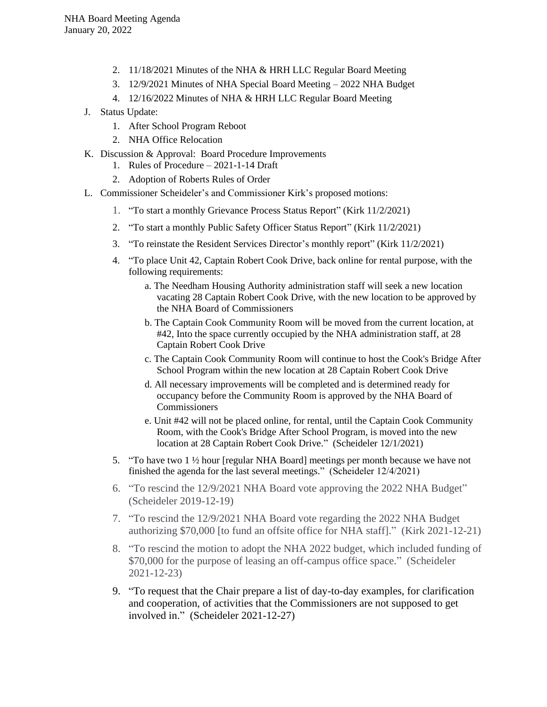- 2. 11/18/2021 Minutes of the NHA & HRH LLC Regular Board Meeting
- 3. 12/9/2021 Minutes of NHA Special Board Meeting 2022 NHA Budget
- 4. 12/16/2022 Minutes of NHA & HRH LLC Regular Board Meeting
- J. Status Update:
	- 1. After School Program Reboot
	- 2. NHA Office Relocation
- K. Discussion & Approval: Board Procedure Improvements
	- 1. Rules of Procedure 2021-1-14 Draft
	- 2. Adoption of Roberts Rules of Order
- L. Commissioner Scheideler's and Commissioner Kirk's proposed motions:
	- 1. "To start a monthly Grievance Process Status Report" (Kirk 11/2/2021)
	- 2. "To start a monthly Public Safety Officer Status Report" (Kirk 11/2/2021)
	- 3. "To reinstate the Resident Services Director's monthly report" (Kirk 11/2/2021)
	- 4. "To place Unit 42, Captain Robert Cook Drive, back online for rental purpose, with the following requirements:
		- a. The Needham Housing Authority administration staff will seek a new location vacating 28 Captain Robert Cook Drive, with the new location to be approved by the NHA Board of Commissioners
		- b. The Captain Cook Community Room will be moved from the current location, at #42, Into the space currently occupied by the NHA administration staff, at 28 Captain Robert Cook Drive
		- c. The Captain Cook Community Room will continue to host the Cook's Bridge After School Program within the new location at 28 Captain Robert Cook Drive
		- d. All necessary improvements will be completed and is determined ready for occupancy before the Community Room is approved by the NHA Board of Commissioners
		- e. Unit #42 will not be placed online, for rental, until the Captain Cook Community Room, with the Cook's Bridge After School Program, is moved into the new location at 28 Captain Robert Cook Drive." (Scheideler 12/1/2021)
	- 5. "To have two 1 ½ hour [regular NHA Board] meetings per month because we have not finished the agenda for the last several meetings." (Scheideler 12/4/2021)
	- 6. "To rescind the 12/9/2021 NHA Board vote approving the 2022 NHA Budget" (Scheideler 2019-12-19)
	- 7. "To rescind the 12/9/2021 NHA Board vote regarding the 2022 NHA Budget authorizing \$70,000 [to fund an offsite office for NHA staff]." (Kirk 2021-12-21)
	- 8. "To rescind the motion to adopt the NHA 2022 budget, which included funding of \$70,000 for the purpose of leasing an off-campus office space." (Scheideler 2021-12-23)
	- 9. "To request that the Chair prepare a list of day-to-day examples, for clarification and cooperation, of activities that the Commissioners are not supposed to get involved in." (Scheideler 2021-12-27)